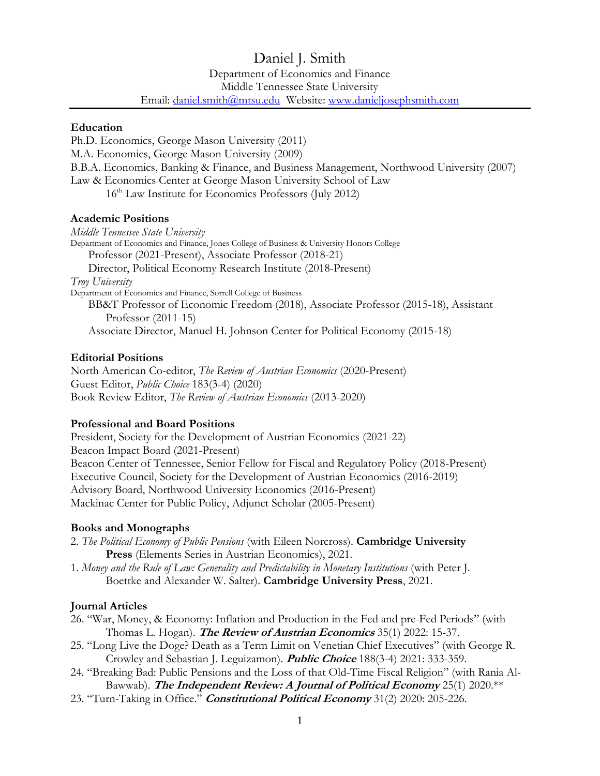# Daniel J. Smith Department of Economics and Finance Middle Tennessee State University Email: [daniel.smith@mtsu.edu](mailto:daniel.smith@mtsu.edu) Website: [www.danieljosephsmith.com](http://www.danieljosephsmith.com/)

#### **Education**

Ph.D. Economics, George Mason University (2011) M.A. Economics, George Mason University (2009) B.B.A. Economics, Banking & Finance, and Business Management, Northwood University (2007) Law & Economics Center at George Mason University School of Law 16<sup>th</sup> Law Institute for Economics Professors (July 2012)

# **Academic Positions**

*Middle Tennessee State University* Department of Economics and Finance, Jones College of Business & University Honors College Professor (2021-Present), Associate Professor (2018-21) Director, Political Economy Research Institute (2018-Present) *Troy University* Department of Economics and Finance, Sorrell College of Business BB&T Professor of Economic Freedom (2018), Associate Professor (2015-18), Assistant Professor (2011-15) Associate Director, Manuel H. Johnson Center for Political Economy (2015-18)

#### **Editorial Positions**

North American Co-editor, *The Review of Austrian Economics* (2020-Present) Guest Editor, *Public Choice* 183(3-4) (2020) Book Review Editor, *The Review of Austrian Economics* (2013-2020)

# **Professional and Board Positions**

President, Society for the Development of Austrian Economics (2021-22) Beacon Impact Board (2021-Present) Beacon Center of Tennessee, Senior Fellow for Fiscal and Regulatory Policy (2018-Present) Executive Council, Society for the Development of Austrian Economics (2016-2019) Advisory Board, Northwood University Economics (2016-Present) Mackinac Center for Public Policy, Adjunct Scholar (2005-Present)

# **Books and Monographs**

2. *The Political Economy of Public Pensions* (with Eileen Norcross). **Cambridge University Press** (Elements Series in Austrian Economics), 2021.

1. *Money and the Rule of Law: Generality and Predictability in Monetary Institutions* (with Peter J. Boettke and Alexander W. Salter). **Cambridge University Press**, 2021.

# **Journal Articles**

- 26. "War, Money, & Economy: Inflation and Production in the Fed and pre-Fed Periods" (with Thomas L. Hogan). **The Review of Austrian Economics** 35(1) 2022: 15-37.
- 25. "Long Live the Doge? Death as a Term Limit on Venetian Chief Executives" (with George R. Crowley and Sebastian J. Leguizamon). **Public Choice** 188(3-4) 2021: 333-359.
- 24. "Breaking Bad: Public Pensions and the Loss of that Old-Time Fiscal Religion" (with Rania Al-Bawwab). **The Independent Review: A Journal of Political Economy** 25(1) 2020.\*\*
- 23. "Turn-Taking in Office." **Constitutional Political Economy** 31(2) 2020: 205-226.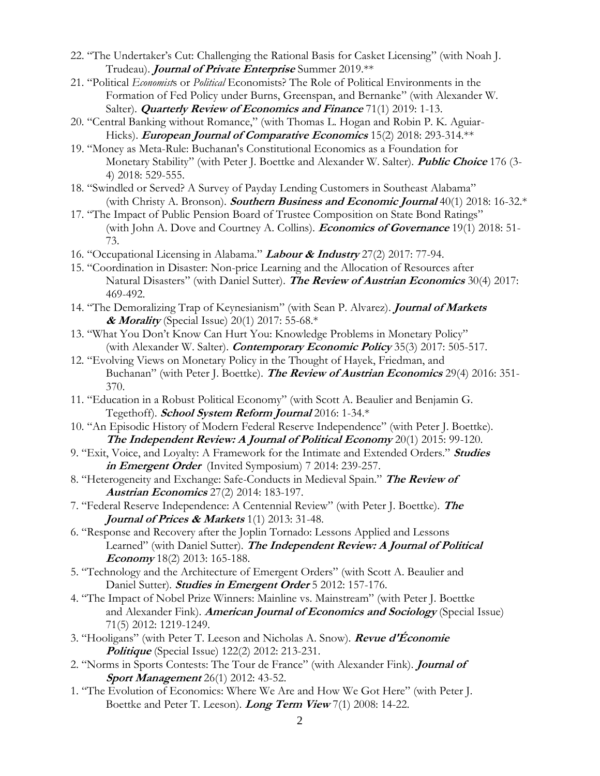- 22. "The Undertaker's Cut: Challenging the Rational Basis for Casket Licensing" (with Noah J. Trudeau). **Journal of Private Enterprise** Summer 2019.\*\*
- 21. "Political *Economist*s or *Political* Economists? The Role of Political Environments in the Formation of Fed Policy under Burns, Greenspan, and Bernanke" (with Alexander W. Salter). **Quarterly Review of Economics and Finance** 71(1) 2019: 1-13.
- 20. "Central Banking without Romance," (with Thomas L. Hogan and Robin P. K. Aguiar-Hicks). **European Journal of Comparative Economics** 15(2) 2018: 293-314.\*\*
- 19. "Money as Meta-Rule: Buchanan's Constitutional Economics as a Foundation for Monetary Stability" (with Peter J. Boettke and Alexander W. Salter). **Public Choice** 176 (3- 4) 2018: 529-555.
- 18. "Swindled or Served? A Survey of Payday Lending Customers in Southeast Alabama" (with Christy A. Bronson). **Southern Business and Economic Journal** 40(1) 2018: 16-32.\*
- 17. "The Impact of Public Pension Board of Trustee Composition on State Bond Ratings" (with John A. Dove and Courtney A. Collins). **Economics of Governance** 19(1) 2018: 51- 73.
- 16. "Occupational Licensing in Alabama." **Labour & Industry** 27(2) 2017: 77-94.
- 15. "Coordination in Disaster: Non-price Learning and the Allocation of Resources after Natural Disasters" (with Daniel Sutter). **The Review of Austrian Economics** 30(4) 2017: 469-492.
- 14. "The Demoralizing Trap of Keynesianism" (with Sean P. Alvarez). **Journal of Markets & Morality** (Special Issue) 20(1) 2017: 55-68.\*
- 13. "What You Don't Know Can Hurt You: Knowledge Problems in Monetary Policy" (with Alexander W. Salter). **Contemporary Economic Policy** 35(3) 2017: 505-517.
- 12. "Evolving Views on Monetary Policy in the Thought of Hayek, Friedman, and Buchanan" (with Peter J. Boettke). **The Review of Austrian Economics** 29(4) 2016: 351- 370.
- 11. "Education in a Robust Political Economy" (with Scott A. Beaulier and Benjamin G. Tegethoff). **School System Reform Journal** 2016: 1-34.\*
- 10. "An Episodic History of Modern Federal Reserve Independence" (with Peter J. Boettke). **The Independent Review: A Journal of Political Economy** 20(1) 2015: 99-120.
- 9. "Exit, Voice, and Loyalty: A Framework for the Intimate and Extended Orders." **Studies in Emergent Order** (Invited Symposium) 7 2014: 239-257.
- 8. "Heterogeneity and Exchange: Safe-Conducts in Medieval Spain." **The Review of Austrian Economics** 27(2) 2014: 183-197.
- 7. "Federal Reserve Independence: A Centennial Review" (with Peter J. Boettke). **The Journal of Prices & Markets** 1(1) 2013: 31-48.
- 6. "Response and Recovery after the Joplin Tornado: Lessons Applied and Lessons Learned" (with Daniel Sutter). **The Independent Review: A Journal of Political Economy** 18(2) 2013: 165-188.
- 5. "Technology and the Architecture of Emergent Orders" (with Scott A. Beaulier and Daniel Sutter)*.* **Studies in Emergent Order** 5 2012: 157-176.
- 4. "The Impact of Nobel Prize Winners: Mainline vs. Mainstream" (with Peter J. Boettke and Alexander Fink). **American Journal of Economics and Sociology** (Special Issue) 71(5) 2012: 1219-1249.
- 3. "Hooligans" (with Peter T. Leeson and Nicholas A. Snow). **Revue d'Économie Politique** (Special Issue) 122(2) 2012: 213-231.
- 2. "Norms in Sports Contests: The Tour de France" (with Alexander Fink). **Journal of Sport Management** 26(1) 2012: 43-52.
- 1. "The Evolution of Economics: Where We Are and How We Got Here" (with Peter J. Boettke and Peter T. Leeson). **Long Term View** 7(1) 2008: 14-22.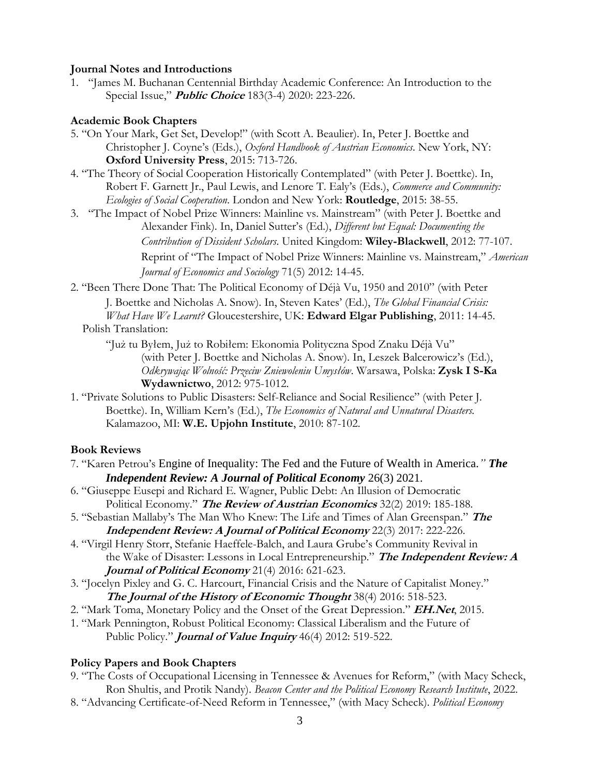#### **Journal Notes and Introductions**

1. "James M. Buchanan Centennial Birthday Academic Conference: An Introduction to the Special Issue," **Public Choice** 183(3-4) 2020: 223-226.

#### **Academic Book Chapters**

- 5. "On Your Mark, Get Set, Develop!" (with Scott A. Beaulier). In, Peter J. Boettke and Christopher J. Coyne's (Eds.), *Oxford Handbook of Austrian Economics*. New York, NY: **Oxford University Press**, 2015: 713-726.
- 4. "The Theory of Social Cooperation Historically Contemplated" (with Peter J. Boettke). In, Robert F. Garnett Jr., Paul Lewis, and Lenore T. Ealy's (Eds.), *Commerce and Community: Ecologies of Social Cooperation*. London and New York: **Routledge**, 2015: 38-55.
- 3. "The Impact of Nobel Prize Winners: Mainline vs. Mainstream" (with Peter J. Boettke and Alexander Fink). In, Daniel Sutter's (Ed.), *Different but Equal: Documenting the Contribution of Dissident Scholars*. United Kingdom: **Wiley-Blackwell**, 2012: 77-107. Reprint of "The Impact of Nobel Prize Winners: Mainline vs. Mainstream," *American Journal of Economics and Sociology* 71(5) 2012: 14-45.
- 2. "Been There Done That: The Political Economy of Déjà Vu, 1950 and 2010" (with Peter

J. Boettke and Nicholas A. Snow). In, Steven Kates' (Ed.), *The Global Financial Crisis: What Have We Learnt?* Gloucestershire, UK: **Edward Elgar Publishing**, 2011: 14-45.

Polish Translation:

"Już tu Byłem, Już to Robiłem: Ekonomia Polityczna Spod Znaku Déjà Vu" (with Peter J. Boettke and Nicholas A. Snow). In, Leszek Balcerowicz's (Ed.), *Odkrywając Wolność: Przeciw Zniewoleniu Umysłów*. Warsawa, Polska: **Zysk I S-Ka Wydawnictwo**, 2012: 975-1012.

1. "Private Solutions to Public Disasters: Self-Reliance and Social Resilience" (with Peter J. Boettke). In, William Kern's (Ed.), *The Economics of Natural and Unnatural Disasters.*  Kalamazoo, MI: **W.E. Upjohn Institute**, 2010: 87-102.

#### **Book Reviews**

- 7. "Karen Petrou's Engine of Inequality: The Fed and the Future of Wealth in America.*" The Independent Review: A Journal of Political Economy* 26(3) 2021.
- 6. "Giuseppe Eusepi and Richard E. Wagner, Public Debt: An Illusion of Democratic Political Economy." **The Review of Austrian Economics** 32(2) 2019: 185-188.
- 5. "Sebastian Mallaby's The Man Who Knew: The Life and Times of Alan Greenspan." **The Independent Review: A Journal of Political Economy** 22(3) 2017: 222-226.
- 4. "Virgil Henry Storr, Stefanie Haeffele-Balch, and Laura Grube's Community Revival in the Wake of Disaster: Lessons in Local Entrepreneurship." **The Independent Review: A Journal of Political Economy** 21(4) 2016: 621-623.
- 3. "Jocelyn Pixley and G. C. Harcourt, Financial Crisis and the Nature of Capitalist Money." **The Journal of the History of Economic Thought** 38(4) 2016: 518-523.
- 2. "Mark Toma, Monetary Policy and the Onset of the Great Depression." **EH.Net**, 2015.
- 1. "Mark Pennington, Robust Political Economy: Classical Liberalism and the Future of Public Policy." **Journal of Value Inquiry** 46(4) 2012: 519-522.

#### **Policy Papers and Book Chapters**

- 9. "The Costs of Occupational Licensing in Tennessee & Avenues for Reform," (with Macy Scheck, Ron Shultis, and Protik Nandy). *Beacon Center and the Political Economy Research Institute*, 2022.
- 8. "Advancing Certificate-of-Need Reform in Tennessee," (with Macy Scheck). *Political Economy*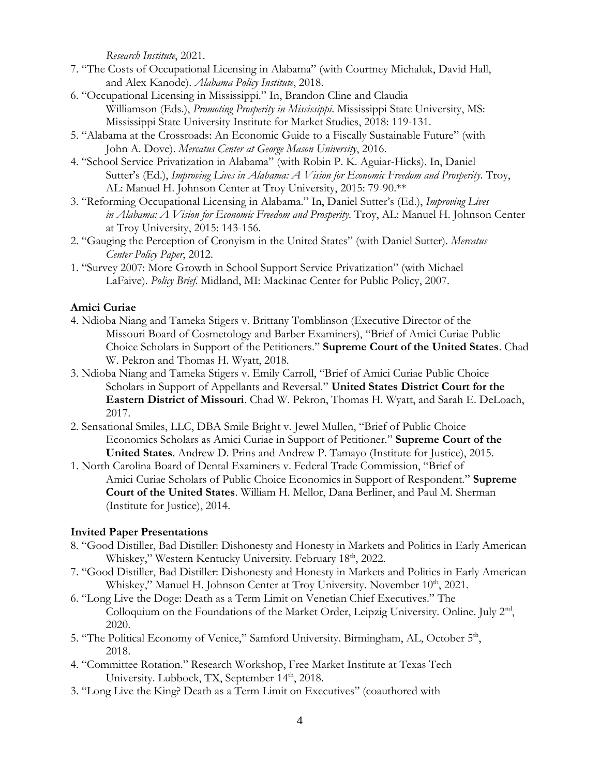*Research Institute*, 2021.

- 7. "The Costs of Occupational Licensing in Alabama" (with Courtney Michaluk, David Hall, and Alex Kanode). *Alabama Policy Institute*, 2018.
- 6. "Occupational Licensing in Mississippi." In, Brandon Cline and Claudia Williamson (Eds.), *Promoting Prosperity in Mississippi*. Mississippi State University, MS: Mississippi State University Institute for Market Studies, 2018: 119-131.
- 5. "Alabama at the Crossroads: An Economic Guide to a Fiscally Sustainable Future" (with John A. Dove). *Mercatus Center at George Mason University*, 2016.
- 4. "School Service Privatization in Alabama" (with Robin P. K. Aguiar-Hicks). In, Daniel Sutter's (Ed.), *Improving Lives in Alabama: A Vision for Economic Freedom and Prosperity*. Troy, AL: Manuel H. Johnson Center at Troy University, 2015: 79-90.\*\*
- 3. "Reforming Occupational Licensing in Alabama." In, Daniel Sutter's (Ed.), *Improving Lives in Alabama: A Vision for Economic Freedom and Prosperity*. Troy, AL: Manuel H. Johnson Center at Troy University, 2015: 143-156.
- 2. "Gauging the Perception of Cronyism in the United States" (with Daniel Sutter). *Mercatus Center Policy Paper*, 2012.
- 1. "Survey 2007: More Growth in School Support Service Privatization" (with Michael LaFaive). *Policy Brief*. Midland, MI: Mackinac Center for Public Policy, 2007.

# **Amici Curiae**

- 4. Ndioba Niang and Tameka Stigers v. Brittany Tomblinson (Executive Director of the Missouri Board of Cosmetology and Barber Examiners), "Brief of Amici Curiae Public Choice Scholars in Support of the Petitioners." **Supreme Court of the United States**. Chad W. Pekron and Thomas H. Wyatt, 2018.
- 3. Ndioba Niang and Tameka Stigers v. Emily Carroll, "Brief of Amici Curiae Public Choice Scholars in Support of Appellants and Reversal." **United States District Court for the Eastern District of Missouri**. Chad W. Pekron, Thomas H. Wyatt, and Sarah E. DeLoach, 2017.
- 2. Sensational Smiles, LLC, DBA Smile Bright v. Jewel Mullen, "Brief of Public Choice Economics Scholars as Amici Curiae in Support of Petitioner." **Supreme Court of the United States**. Andrew D. Prins and Andrew P. Tamayo (Institute for Justice), 2015.
- 1. North Carolina Board of Dental Examiners v. Federal Trade Commission, "Brief of Amici Curiae Scholars of Public Choice Economics in Support of Respondent." **Supreme Court of the United States**. William H. Mellor, Dana Berliner, and Paul M. Sherman (Institute for Justice), 2014.

#### **Invited Paper Presentations**

- 8. "Good Distiller, Bad Distiller: Dishonesty and Honesty in Markets and Politics in Early American Whiskey," Western Kentucky University. February 18<sup>th</sup>, 2022.
- 7. "Good Distiller, Bad Distiller: Dishonesty and Honesty in Markets and Politics in Early American Whiskey," Manuel H. Johnson Center at Troy University. November 10<sup>th</sup>, 2021.
- 6. "Long Live the Doge: Death as a Term Limit on Venetian Chief Executives." The Colloquium on the Foundations of the Market Order, Leipzig University. Online. July 2<sup>nd</sup>, 2020.
- 5. "The Political Economy of Venice," Samford University. Birmingham, AL, October 5<sup>th</sup>, 2018.
- 4. "Committee Rotation." Research Workshop, Free Market Institute at Texas Tech University. Lubbock, TX, September 14<sup>th</sup>, 2018.
- 3. "Long Live the King? Death as a Term Limit on Executives" (coauthored with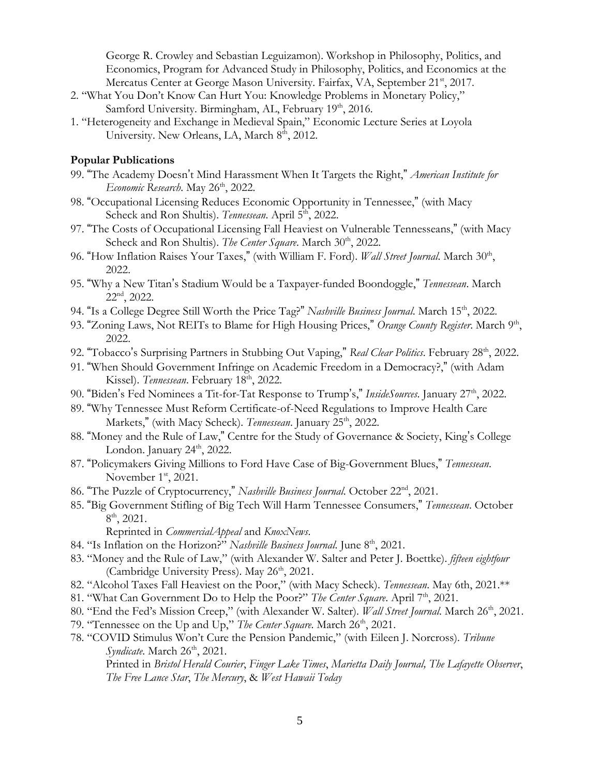George R. Crowley and Sebastian Leguizamon). Workshop in Philosophy, Politics, and Economics, Program for Advanced Study in Philosophy, Politics, and Economics at the Mercatus Center at George Mason University. Fairfax, VA, September 21<sup>st</sup>, 2017.

- 2. "What You Don't Know Can Hurt You: Knowledge Problems in Monetary Policy," Samford University. Birmingham, AL, February 19th, 2016.
- 1. "Heterogeneity and Exchange in Medieval Spain," Economic Lecture Series at Loyola University. New Orleans, LA, March 8<sup>th</sup>, 2012.

#### **Popular Publications**

- 99. "The Academy Doesn't Mind Harassment When It Targets the Right," *American Institute for Economic Research.* May 26<sup>th</sup>, 2022.
- 98. "Occupational Licensing Reduces Economic Opportunity in Tennessee," (with Macy Scheck and Ron Shultis). *Tennessean*. April 5<sup>th</sup>, 2022.
- 97. "The Costs of Occupational Licensing Fall Heaviest on Vulnerable Tennesseans," (with Macy Scheck and Ron Shultis). *The Center Square*. March 30<sup>th</sup>, 2022.
- 96. "How Inflation Raises Your Taxes," (with William F. Ford). *Wall Street Journal*. March 30<sup>th</sup>, 2022.
- 95. "Why a New Titan's Stadium Would be a Taxpayer-funded Boondoggle," *Tennessean*. March 22nd, 2022.
- 94. "Is a College Degree Still Worth the Price Tag?" *Nashville Business Journal*. March 15<sup>th</sup>, 2022.
- 93. "Zoning Laws, Not REITs to Blame for High Housing Prices," Orange County Register. March 9th, 2022.
- 92. "Tobacco's Surprising Partners in Stubbing Out Vaping," *Real Clear Politics*. February 28<sup>th</sup>, 2022.
- 91. "When Should Government Infringe on Academic Freedom in a Democracy?," (with Adam Kissel). *Tennessean*. February 18<sup>th</sup>, 2022.
- 90. "Biden's Fed Nominees a Tit-for-Tat Response to Trump's," *InsideSources*. January 27<sup>th</sup>, 2022.
- 89. "Why Tennessee Must Reform Certificate-of-Need Regulations to Improve Health Care Markets," (with Macy Scheck). *Tennessean*. January 25<sup>th</sup>, 2022.
- 88. "Money and the Rule of Law," Centre for the Study of Governance & Society, King's College London. January 24<sup>th</sup>, 2022.
- 87. "Policymakers Giving Millions to Ford Have Case of Big-Government Blues," *Tennessean*. November  $1<sup>st</sup>$ , 2021.
- 86. "The Puzzle of Cryptocurrency," *Nashville Business Journal*. October 22nd, 2021.
- 85. "Big Government Stifling of Big Tech Will Harm Tennessee Consumers," *Tennessean*. October  $8^{\text{th}}$ , 2021.

Reprinted in *CommercialAppeal* and *KnoxNews*.

- 84. "Is Inflation on the Horizon?" *Nashville Business Journal*. June 8<sup>th</sup>, 2021.
- 83. "Money and the Rule of Law," (with Alexander W. Salter and Peter J. Boettke). *fifteen eightfour* (Cambridge University Press). May 26<sup>th</sup>, 2021.
- 82. "Alcohol Taxes Fall Heaviest on the Poor," (with Macy Scheck). *Tennessean*. May 6th, 2021.\*\*
- 81. "What Can Government Do to Help the Poor?" *The Center Square*. April 7<sup>th</sup>, 2021.
- 80. "End the Fed's Mission Creep," (with Alexander W. Salter). *Wall Street Journal*. March 26<sup>th</sup>, 2021.
- 79. "Tennessee on the Up and Up," *The Center Square*. March 26<sup>th</sup>, 2021.
- 78. "COVID Stimulus Won't Cure the Pension Pandemic," (with Eileen J. Norcross). *Tribune Syndicate*. March 26<sup>th</sup>, 2021.

Printed in *Bristol Herald Courier*, *Finger Lake Times*, *Marietta Daily Journal, The Lafayette Observer*, *The Free Lance Star*, *The Mercury*, & *West Hawaii Today*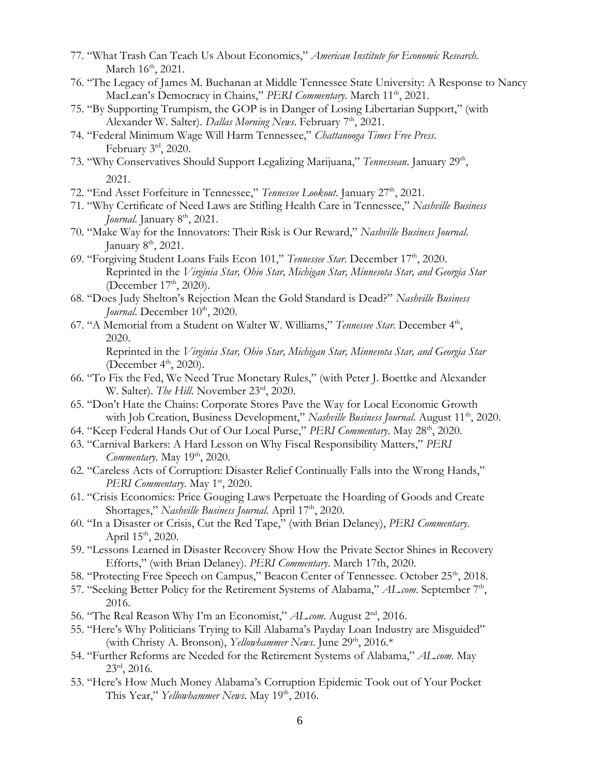- 77. "What Trash Can Teach Us About Economics," *American Institute for Economic Research.* March  $16<sup>th</sup>$ , 2021.
- 76. "The Legacy of James M. Buchanan at Middle Tennessee State University: A Response to Nancy MacLean's Democracy in Chains," *PERI Commentary*. March 11<sup>th</sup>, 2021.
- 75. "By Supporting Trumpism, the GOP is in Danger of Losing Libertarian Support," (with Alexander W. Salter). *Dallas Morning News*. February 7<sup>th</sup>, 2021.
- 74. "Federal Minimum Wage Will Harm Tennessee," *Chattanooga Times Free Press*. February 3rd, 2020.
- 73. "Why Conservatives Should Support Legalizing Marijuana," Tennessean. January 29<sup>th</sup>, 2021.
- 72. "End Asset Forfeiture in Tennessee," *Tennessee Lookout*. January 27<sup>th</sup>, 2021.
- 71. "Why Certificate of Need Laws are Stifling Health Care in Tennessee," *Nashville Business Journal.* January 8<sup>th</sup>, 2021.
- 70. "Make Way for the Innovators: Their Risk is Our Reward," *Nashville Business Journal*. January  $8<sup>th</sup>$ , 2021.
- 69. "Forgiving Student Loans Fails Econ 101," *Tennessee Star*. December 17<sup>th</sup>, 2020. Reprinted in the *Virginia Star, Ohio Star, Michigan Star, Minnesota Star, and Georgia Star* (December  $17<sup>th</sup>$ , 2020).
- 68. "Does Judy Shelton's Rejection Mean the Gold Standard is Dead?" *Nashville Business Journal*. December 10<sup>th</sup>, 2020.
- 67. "A Memorial from a Student on Walter W. Williams," Tennessee Star. December 4<sup>th</sup>, 2020.

Reprinted in the *Virginia Star, Ohio Star, Michigan Star, Minnesota Star, and Georgia Star* (December  $4<sup>th</sup>$ , 2020).

- 66. "To Fix the Fed, We Need True Monetary Rules," (with Peter J. Boettke and Alexander W. Salter). *The Hill*. November 23<sup>rd</sup>, 2020.
- 65. "Don't Hate the Chains: Corporate Stores Pave the Way for Local Economic Growth with Job Creation, Business Development," *Nashville Business Journal*. August 11<sup>th</sup>, 2020.
- 64. "Keep Federal Hands Out of Our Local Purse," *PERI Commentary*. May 28<sup>th</sup>, 2020.
- 63. "Carnival Barkers: A Hard Lesson on Why Fiscal Responsibility Matters," *PERI Commentary*. May 19<sup>th</sup>, 2020.
- 62. "Careless Acts of Corruption: Disaster Relief Continually Falls into the Wrong Hands," *PERI Commentary*. May 1<sup>st</sup>, 2020.
- 61. "Crisis Economics: Price Gouging Laws Perpetuate the Hoarding of Goods and Create Shortages," *Nashville Business Journal*. April 17<sup>th</sup>, 2020.
- 60. "In a Disaster or Crisis, Cut the Red Tape," (with Brian Delaney), *PERI Commentary*. April  $15^{th}$ , 2020.
- 59. "Lessons Learned in Disaster Recovery Show How the Private Sector Shines in Recovery Efforts," (with Brian Delaney). *PERI Commentary*. March 17th, 2020.
- 58. "Protecting Free Speech on Campus," Beacon Center of Tennessee. October 25<sup>th</sup>, 2018.
- 57. "Seeking Better Policy for the Retirement Systems of Alabama," *AL.com*. September 7<sup>th</sup>, 2016.
- 56. "The Real Reason Why I'm an Economist," *AL.com*. August 2nd, 2016.
- 55. "Here's Why Politicians Trying to Kill Alabama's Payday Loan Industry are Misguided" (with Christy A. Bronson), *Yellowhammer News*. June 29<sup>th</sup>, 2016.\*
- 54. "Further Reforms are Needed for the Retirement Systems of Alabama," *AL.com*. May  $23^{\text{rd}}$ , 2016.
- 53. "Here's How Much Money Alabama's Corruption Epidemic Took out of Your Pocket This Year," *Yellowhammer News*. May 19<sup>th</sup>, 2016.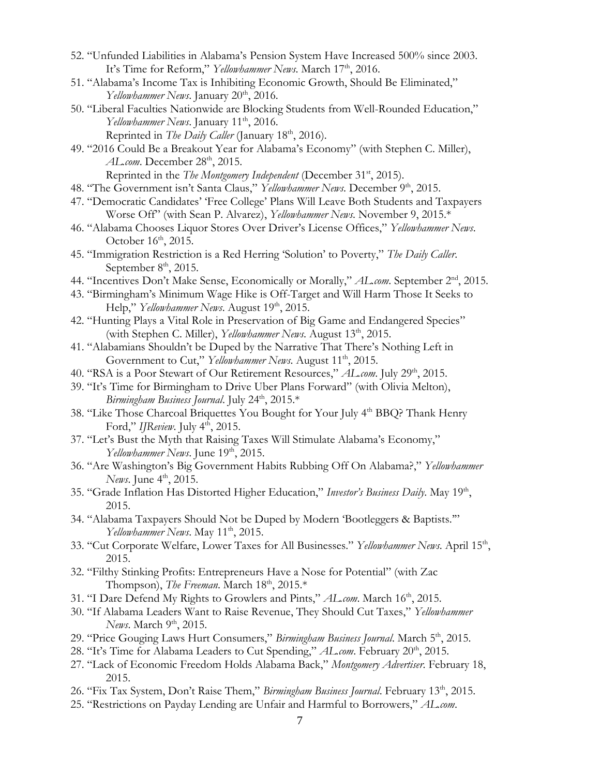- 52. "Unfunded Liabilities in Alabama's Pension System Have Increased 500% since 2003. It's Time for Reform," *Yellowhammer News*. March 17<sup>th</sup>, 2016.
- 51. "Alabama's Income Tax is Inhibiting Economic Growth, Should Be Eliminated," *Yellowhammer News.* January 20<sup>th</sup>, 2016.
- 50. "Liberal Faculties Nationwide are Blocking Students from Well-Rounded Education," *Yellowhammer News.* January 11<sup>th</sup>, 2016. Reprinted in *The Daily Caller* (January 18<sup>th</sup>, 2016).
- 49. "2016 Could Be a Breakout Year for Alabama's Economy" (with Stephen C. Miller), *AL.com.* December 28<sup>th</sup>, 2015.

Reprinted in the *The Montgomery Independent* (December 31<sup>st</sup>, 2015).

- 48. "The Government isn't Santa Claus," *Yellowhammer News*. December 9th, 2015.
- 47. "Democratic Candidates' 'Free College' Plans Will Leave Both Students and Taxpayers Worse Off" (with Sean P. Alvarez), *Yellowhammer News*. November 9, 2015.\*
- 46. "Alabama Chooses Liquor Stores Over Driver's License Offices," *Yellowhammer News*. October 16<sup>th</sup>, 2015.
- 45. "Immigration Restriction is a Red Herring 'Solution' to Poverty," *The Daily Caller*. September  $8<sup>th</sup>$ , 2015.
- 44. "Incentives Don't Make Sense, Economically or Morally," *AL.com*. September 2nd, 2015.
- 43. "Birmingham's Minimum Wage Hike is Off-Target and Will Harm Those It Seeks to Help," *Yellowhammer News*. August 19<sup>th</sup>, 2015.
- 42. "Hunting Plays a Vital Role in Preservation of Big Game and Endangered Species" (with Stephen C. Miller), *Yellowhammer News*. August 13<sup>th</sup>, 2015.
- 41. "Alabamians Shouldn't be Duped by the Narrative That There's Nothing Left in Government to Cut," *Yellowhammer News*. August 11<sup>th</sup>, 2015.
- 40. "RSA is a Poor Stewart of Our Retirement Resources," *AL.com*. July 29<sup>th</sup>, 2015.
- 39. "It's Time for Birmingham to Drive Uber Plans Forward" (with Olivia Melton), Birmingham Business Journal. July 24<sup>th</sup>, 2015.\*
- 38. "Like Those Charcoal Briquettes You Bought for Your July 4th BBQ? Thank Henry Ford," *IJReview*. July 4<sup>th</sup>, 2015.
- 37. "Let's Bust the Myth that Raising Taxes Will Stimulate Alabama's Economy," *Yellowhammer News.* June 19<sup>th</sup>, 2015.
- 36. "Are Washington's Big Government Habits Rubbing Off On Alabama?," *Yellowhammer News.* June 4<sup>th</sup>, 2015.
- 35. "Grade Inflation Has Distorted Higher Education," Investor's Business Daily. May 19th, 2015.
- 34. "Alabama Taxpayers Should Not be Duped by Modern 'Bootleggers & Baptists.'" *Yellowhammer News*. May 11<sup>th</sup>, 2015.
- 33. "Cut Corporate Welfare, Lower Taxes for All Businesses." *Yellowhammer News*. April 15<sup>th</sup>, 2015.
- 32. "Filthy Stinking Profits: Entrepreneurs Have a Nose for Potential" (with Zac Thompson), *The Freeman*. March 18<sup>th</sup>, 2015.\*
- 31. "I Dare Defend My Rights to Growlers and Pints," AL.com. March 16<sup>th</sup>, 2015.
- 30. "If Alabama Leaders Want to Raise Revenue, They Should Cut Taxes," *Yellowhammer News.* March 9<sup>th</sup>, 2015.
- 29. "Price Gouging Laws Hurt Consumers," *Birmingham Business Journal*. March 5<sup>th</sup>, 2015.
- 28. "It's Time for Alabama Leaders to Cut Spending," AL.com. February 20<sup>th</sup>, 2015.
- 27. "Lack of Economic Freedom Holds Alabama Back," *Montgomery Advertiser*. February 18, 2015.
- 26. "Fix Tax System, Don't Raise Them," *Birmingham Business Journal*. February 13th, 2015.
- 25. "Restrictions on Payday Lending are Unfair and Harmful to Borrowers," *AL.com*.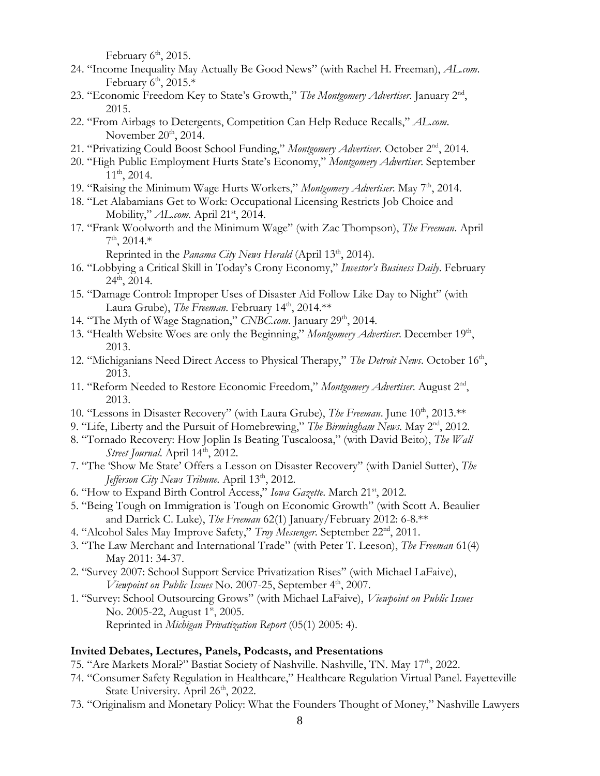February  $6<sup>th</sup>$ , 2015.

- 24. "Income Inequality May Actually Be Good News" (with Rachel H. Freeman), *AL.com*. February  $6<sup>th</sup>$ , 2015.\*
- 23. "Economic Freedom Key to State's Growth," The Montgomery Advertiser. January 2<sup>nd</sup>, 2015.
- 22. "From Airbags to Detergents, Competition Can Help Reduce Recalls," *AL.com*. November  $20<sup>th</sup>$ , 2014.
- 21. "Privatizing Could Boost School Funding," Montgomery Advertiser. October 2<sup>nd</sup>, 2014.
- 20. "High Public Employment Hurts State's Economy," *Montgomery Advertiser*. September  $11^{th}$ , 2014.
- 19. "Raising the Minimum Wage Hurts Workers," *Montgomery Advertiser*. May 7<sup>th</sup>, 2014.
- 18. "Let Alabamians Get to Work: Occupational Licensing Restricts Job Choice and Mobility," *AL.com.* April 21st, 2014.
- 17. "Frank Woolworth and the Minimum Wage" (with Zac Thompson), *The Freeman*. April  $7<sup>th</sup>$ , 2014.\*

Reprinted in the *Panama City News Herald* (April 13<sup>th</sup>, 2014).

- 16. "Lobbying a Critical Skill in Today's Crony Economy," *Investor's Business Daily*. February  $24^{\text{th}}$ , 2014.
- 15. "Damage Control: Improper Uses of Disaster Aid Follow Like Day to Night" (with Laura Grube), *The Freeman*. February 14<sup>th</sup>, 2014.\*\*
- 14. "The Myth of Wage Stagnation," *CNBC.com*. January 29<sup>th</sup>, 2014.
- 13. "Health Website Woes are only the Beginning," Montgomery Advertiser. December 19<sup>th</sup>, 2013.
- 12. "Michiganians Need Direct Access to Physical Therapy," The Detroit News. October 16<sup>th</sup>, 2013.
- 11. "Reform Needed to Restore Economic Freedom," Montgomery Advertiser. August 2<sup>nd</sup>, 2013.
- 10. "Lessons in Disaster Recovery" (with Laura Grube), *The Freeman*. June 10<sup>th</sup>, 2013.\*\*
- 9. "Life, Liberty and the Pursuit of Homebrewing," *The Birmingham News*. May 2nd, 2012.
- 8. "Tornado Recovery: How Joplin Is Beating Tuscaloosa," (with David Beito), *The Wall Street Journal.* April 14<sup>th</sup>, 2012.
- 7. "The 'Show Me State' Offers a Lesson on Disaster Recovery" (with Daniel Sutter), *The Jefferson City News Tribune.* April 13<sup>th</sup>, 2012.
- 6. "How to Expand Birth Control Access," *Iowa Gazette*. March 21st, 2012.
- 5. "Being Tough on Immigration is Tough on Economic Growth" (with Scott A. Beaulier and Darrick C. Luke), *The Freeman* 62(1) January/February 2012: 6-8.\*\*
- 4. "Alcohol Sales May Improve Safety," *Troy Messenger*. September 22nd, 2011.
- 3. "The Law Merchant and International Trade" (with Peter T. Leeson), *The Freeman* 61(4) May 2011: 34-37.
- 2. "Survey 2007: School Support Service Privatization Rises" (with Michael LaFaive), *Viewpoint on Public Issues* No. 2007-25, September 4<sup>th</sup>, 2007.
- 1. "Survey: School Outsourcing Grows" (with Michael LaFaive), *Viewpoint on Public Issues* No. 2005-22, August 1<sup>st</sup>, 2005. Reprinted in *Michigan Privatization Report* (05(1) 2005: 4).

#### **Invited Debates, Lectures, Panels, Podcasts, and Presentations**

75. "Are Markets Moral?" Bastiat Society of Nashville. Nashville, TN. May 17<sup>th</sup>, 2022.

- 74. "Consumer Safety Regulation in Healthcare," Healthcare Regulation Virtual Panel. Fayetteville State University. April 26<sup>th</sup>, 2022.
- 73. "Originalism and Monetary Policy: What the Founders Thought of Money," Nashville Lawyers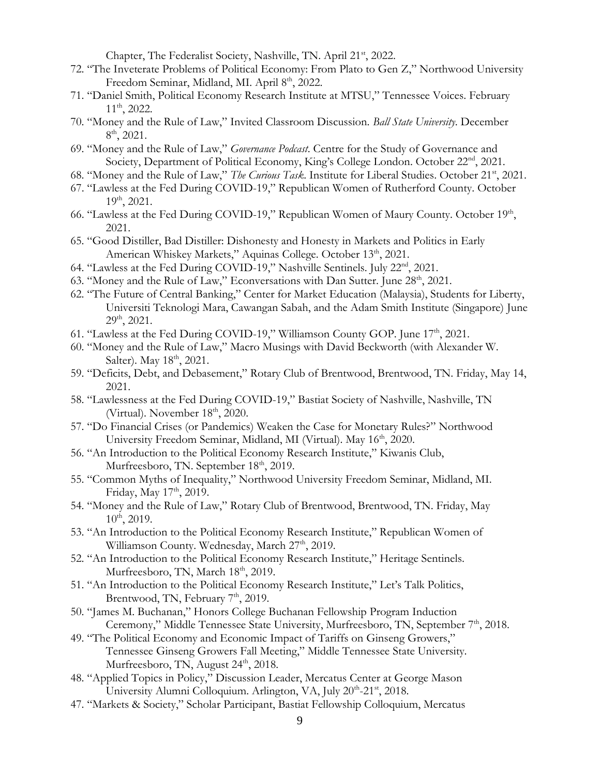Chapter, The Federalist Society, Nashville, TN. April 21st, 2022.

- 72. "The Inveterate Problems of Political Economy: From Plato to Gen Z," Northwood University Freedom Seminar, Midland, MI. April 8<sup>th</sup>, 2022.
- 71. "Daniel Smith, Political Economy Research Institute at MTSU," Tennessee Voices. February 11th, 2022.
- 70. "Money and the Rule of Law," Invited Classroom Discussion. *Ball State University*. December  $8^{\text{th}}$ , 2021.
- 69. "Money and the Rule of Law," *Governance Podcast*. Centre for the Study of Governance and Society, Department of Political Economy, King's College London. October 22<sup>nd</sup>, 2021.
- 68. "Money and the Rule of Law," *The Curious Task*. Institute for Liberal Studies. October 21st, 2021.
- 67. "Lawless at the Fed During COVID-19," Republican Women of Rutherford County. October 19th, 2021.
- 66. "Lawless at the Fed During COVID-19," Republican Women of Maury County. October 19th, 2021.
- 65. "Good Distiller, Bad Distiller: Dishonesty and Honesty in Markets and Politics in Early American Whiskey Markets," Aquinas College. October 13<sup>th</sup>, 2021.
- 64. "Lawless at the Fed During COVID-19," Nashville Sentinels. July 22<sup>nd</sup>, 2021.
- 63. "Money and the Rule of Law," Econversations with Dan Sutter. June 28<sup>th</sup>, 2021.
- 62. "The Future of Central Banking," Center for Market Education (Malaysia), Students for Liberty, Universiti Teknologi Mara, Cawangan Sabah, and the Adam Smith Institute (Singapore) June  $29<sup>th</sup>$ , 2021.
- 61. "Lawless at the Fed During COVID-19," Williamson County GOP. June 17<sup>th</sup>, 2021.
- 60. "Money and the Rule of Law," Macro Musings with David Beckworth (with Alexander W. Salter). May  $18<sup>th</sup>$ , 2021.
- 59. "Deficits, Debt, and Debasement," Rotary Club of Brentwood, Brentwood, TN. Friday, May 14, 2021.
- 58. "Lawlessness at the Fed During COVID-19," Bastiat Society of Nashville, Nashville, TN (Virtual). November  $18<sup>th</sup>$ , 2020.
- 57. "Do Financial Crises (or Pandemics) Weaken the Case for Monetary Rules?" Northwood University Freedom Seminar, Midland, MI (Virtual). May 16<sup>th</sup>, 2020.
- 56. "An Introduction to the Political Economy Research Institute," Kiwanis Club, Murfreesboro, TN. September 18<sup>th</sup>, 2019.
- 55. "Common Myths of Inequality," Northwood University Freedom Seminar, Midland, MI. Friday, May 17<sup>th</sup>, 2019.
- 54. "Money and the Rule of Law," Rotary Club of Brentwood, Brentwood, TN. Friday, May  $10^{th}$ , 2019.
- 53. "An Introduction to the Political Economy Research Institute," Republican Women of Williamson County. Wednesday, March 27<sup>th</sup>, 2019.
- 52. "An Introduction to the Political Economy Research Institute," Heritage Sentinels. Murfreesboro, TN, March 18<sup>th</sup>, 2019.
- 51. "An Introduction to the Political Economy Research Institute," Let's Talk Politics, Brentwood, TN, February 7<sup>th</sup>, 2019.
- 50. "James M. Buchanan," Honors College Buchanan Fellowship Program Induction Ceremony," Middle Tennessee State University, Murfreesboro, TN, September 7<sup>th</sup>, 2018.
- 49. "The Political Economy and Economic Impact of Tariffs on Ginseng Growers," Tennessee Ginseng Growers Fall Meeting," Middle Tennessee State University. Murfreesboro, TN, August 24<sup>th</sup>, 2018.
- 48. "Applied Topics in Policy," Discussion Leader, Mercatus Center at George Mason University Alumni Colloquium. Arlington, VA, July 20<sup>th</sup>-21<sup>st</sup>, 2018.
- 47. "Markets & Society," Scholar Participant, Bastiat Fellowship Colloquium, Mercatus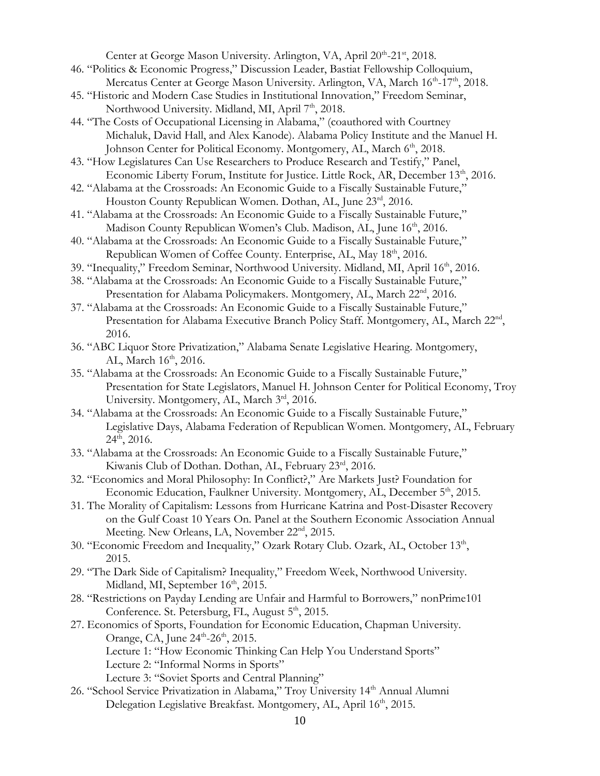Center at George Mason University. Arlington, VA, April 20th-21st, 2018.

- 46. "Politics & Economic Progress," Discussion Leader, Bastiat Fellowship Colloquium, Mercatus Center at George Mason University. Arlington, VA, March 16<sup>th</sup>-17<sup>th</sup>, 2018.
- 45. "Historic and Modern Case Studies in Institutional Innovation," Freedom Seminar, Northwood University. Midland, MI, April 7<sup>th</sup>, 2018.
- 44. "The Costs of Occupational Licensing in Alabama," (coauthored with Courtney Michaluk, David Hall, and Alex Kanode). Alabama Policy Institute and the Manuel H. Johnson Center for Political Economy. Montgomery, AL, March 6<sup>th</sup>, 2018.
- 43. "How Legislatures Can Use Researchers to Produce Research and Testify," Panel, Economic Liberty Forum, Institute for Justice. Little Rock, AR, December 13<sup>th</sup>, 2016.
- 42. "Alabama at the Crossroads: An Economic Guide to a Fiscally Sustainable Future," Houston County Republican Women. Dothan, AL, June 23rd, 2016.
- 41. "Alabama at the Crossroads: An Economic Guide to a Fiscally Sustainable Future," Madison County Republican Women's Club. Madison, AL, June 16<sup>th</sup>, 2016.
- 40. "Alabama at the Crossroads: An Economic Guide to a Fiscally Sustainable Future," Republican Women of Coffee County. Enterprise, AL, May 18<sup>th</sup>, 2016.
- 39. "Inequality," Freedom Seminar, Northwood University. Midland, MI, April 16th, 2016.
- 38. "Alabama at the Crossroads: An Economic Guide to a Fiscally Sustainable Future," Presentation for Alabama Policymakers. Montgomery, AL, March 22<sup>nd</sup>, 2016.
- 37. "Alabama at the Crossroads: An Economic Guide to a Fiscally Sustainable Future," Presentation for Alabama Executive Branch Policy Staff. Montgomery, AL, March 22<sup>nd</sup>, 2016.
- 36. "ABC Liquor Store Privatization," Alabama Senate Legislative Hearing. Montgomery, AL, March  $16<sup>th</sup>$ , 2016.
- 35. "Alabama at the Crossroads: An Economic Guide to a Fiscally Sustainable Future," Presentation for State Legislators, Manuel H. Johnson Center for Political Economy, Troy University. Montgomery, AL, March 3rd, 2016.
- 34. "Alabama at the Crossroads: An Economic Guide to a Fiscally Sustainable Future," Legislative Days, Alabama Federation of Republican Women. Montgomery, AL, February  $24<sup>th</sup>$ , 2016.
- 33. "Alabama at the Crossroads: An Economic Guide to a Fiscally Sustainable Future," Kiwanis Club of Dothan. Dothan, AL, February 23rd, 2016.
- 32. "Economics and Moral Philosophy: In Conflict?," Are Markets Just? Foundation for Economic Education, Faulkner University. Montgomery, AL, December 5<sup>th</sup>, 2015.
- 31. The Morality of Capitalism: Lessons from Hurricane Katrina and Post-Disaster Recovery on the Gulf Coast 10 Years On. Panel at the Southern Economic Association Annual Meeting. New Orleans, LA, November 22<sup>nd</sup>, 2015.
- 30. "Economic Freedom and Inequality," Ozark Rotary Club. Ozark, AL, October 13th, 2015.
- 29. "The Dark Side of Capitalism? Inequality," Freedom Week, Northwood University. Midland, MI, September 16<sup>th</sup>, 2015.
- 28. "Restrictions on Payday Lending are Unfair and Harmful to Borrowers," nonPrime101 Conference. St. Petersburg, FL, August 5<sup>th</sup>, 2015.
- 27. Economics of Sports, Foundation for Economic Education, Chapman University. Orange, CA, June  $24^{\text{th}}$ -26<sup>th</sup>, 2015.
	- Lecture 1: "How Economic Thinking Can Help You Understand Sports"
	- Lecture 2: "Informal Norms in Sports"
	- Lecture 3: "Soviet Sports and Central Planning"
- 26. "School Service Privatization in Alabama," Troy University 14<sup>th</sup> Annual Alumni Delegation Legislative Breakfast. Montgomery, AL, April 16<sup>th</sup>, 2015.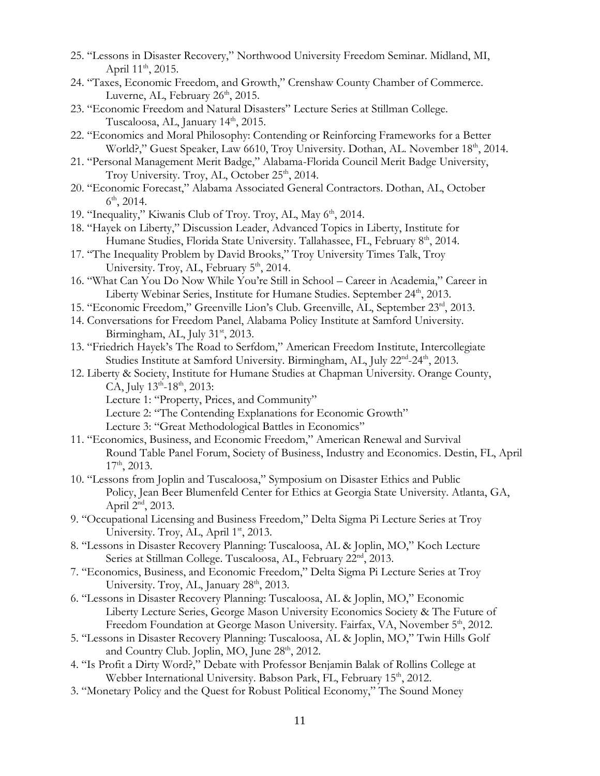- 25. "Lessons in Disaster Recovery," Northwood University Freedom Seminar. Midland, MI, April  $11^{th}$ , 2015.
- 24. "Taxes, Economic Freedom, and Growth," Crenshaw County Chamber of Commerce. Luverne, AL, February  $26<sup>th</sup>$ , 2015.
- 23. "Economic Freedom and Natural Disasters" Lecture Series at Stillman College. Tuscaloosa, AL, January  $14<sup>th</sup>$ , 2015.
- 22. "Economics and Moral Philosophy: Contending or Reinforcing Frameworks for a Better World?," Guest Speaker, Law 6610, Troy University. Dothan, AL. November 18<sup>th</sup>, 2014.
- 21. "Personal Management Merit Badge," Alabama-Florida Council Merit Badge University, Troy University. Troy, AL, October  $25<sup>th</sup>$ , 2014.
- 20. "Economic Forecast," Alabama Associated General Contractors. Dothan, AL, October  $6^{\text{th}}$ , 2014.
- 19. "Inequality," Kiwanis Club of Troy. Troy, AL, May 6<sup>th</sup>, 2014.
- 18. "Hayek on Liberty," Discussion Leader, Advanced Topics in Liberty, Institute for Humane Studies, Florida State University. Tallahassee, FL, February 8<sup>th</sup>, 2014.
- 17. "The Inequality Problem by David Brooks," Troy University Times Talk, Troy University. Troy, AL, February 5<sup>th</sup>, 2014.
- 16. "What Can You Do Now While You're Still in School Career in Academia," Career in Liberty Webinar Series, Institute for Humane Studies. September 24<sup>th</sup>, 2013.
- 15. "Economic Freedom," Greenville Lion's Club. Greenville, AL, September 23rd, 2013.
- 14. Conversations for Freedom Panel, Alabama Policy Institute at Samford University. Birmingham, AL, July 31<sup>st</sup>, 2013.
- 13. "Friedrich Hayek's The Road to Serfdom," American Freedom Institute, Intercollegiate Studies Institute at Samford University. Birmingham, AL, July 22<sup>nd</sup>-24<sup>th</sup>, 2013.
- 12. Liberty & Society, Institute for Humane Studies at Chapman University. Orange County, CA, July  $13^{\text{th}}$ -18<sup>th</sup>, 2013:
	- Lecture 1: "Property, Prices, and Community"
	- Lecture 2: "The Contending Explanations for Economic Growth"
	- Lecture 3: "Great Methodological Battles in Economics"
- 11. "Economics, Business, and Economic Freedom," American Renewal and Survival Round Table Panel Forum, Society of Business, Industry and Economics. Destin, FL, April  $17<sup>th</sup>$ , 2013.
- 10. "Lessons from Joplin and Tuscaloosa," Symposium on Disaster Ethics and Public Policy, Jean Beer Blumenfeld Center for Ethics at Georgia State University. Atlanta, GA, April 2<sup>nd</sup>, 2013.
- 9. "Occupational Licensing and Business Freedom," Delta Sigma Pi Lecture Series at Troy University. Troy, AL, April 1<sup>st</sup>, 2013.
- 8. "Lessons in Disaster Recovery Planning: Tuscaloosa, AL & Joplin, MO," Koch Lecture Series at Stillman College. Tuscaloosa, AL, February 22<sup>nd</sup>, 2013.
- 7. "Economics, Business, and Economic Freedom," Delta Sigma Pi Lecture Series at Troy University. Troy, AL, January 28<sup>th</sup>, 2013.
- 6. "Lessons in Disaster Recovery Planning: Tuscaloosa, AL & Joplin, MO," Economic Liberty Lecture Series, George Mason University Economics Society & The Future of Freedom Foundation at George Mason University. Fairfax, VA, November 5<sup>th</sup>, 2012.
- 5. "Lessons in Disaster Recovery Planning: Tuscaloosa, AL & Joplin, MO," Twin Hills Golf and Country Club. Joplin, MO, June 28<sup>th</sup>, 2012.
- 4. "Is Profit a Dirty Word?," Debate with Professor Benjamin Balak of Rollins College at Webber International University. Babson Park, FL, February 15<sup>th</sup>, 2012.
- 3. "Monetary Policy and the Quest for Robust Political Economy," The Sound Money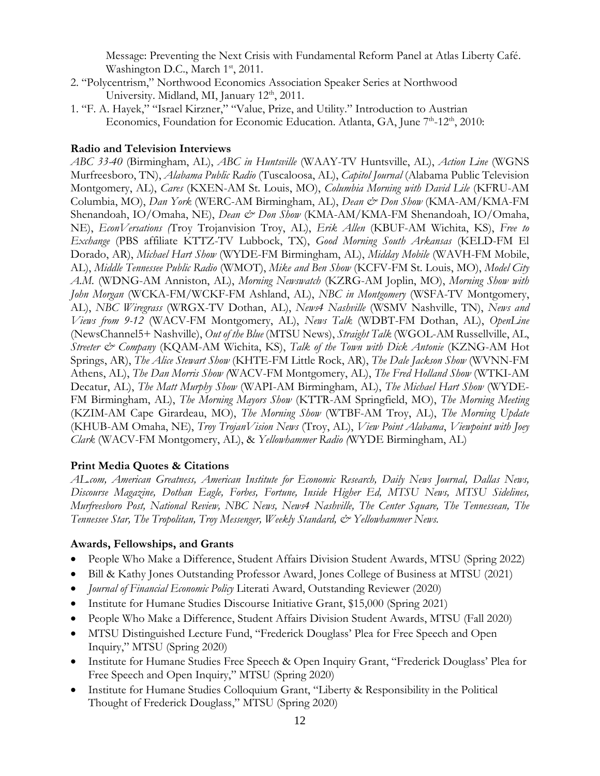Message: Preventing the Next Crisis with Fundamental Reform Panel at Atlas Liberty Café. Washington D.C., March 1<sup>st</sup>, 2011.

- 2. "Polycentrism," Northwood Economics Association Speaker Series at Northwood University. Midland, MI, January 12<sup>th</sup>, 2011.
- 1. "F. A. Hayek," "Israel Kirzner," "Value, Prize, and Utility." Introduction to Austrian Economics, Foundation for Economic Education. Atlanta, GA, June 7<sup>th</sup>-12<sup>th</sup>, 2010:

#### **Radio and Television Interviews**

*ABC 33-40* (Birmingham, AL), *ABC in Huntsville* (WAAY-TV Huntsville, AL), *Action Line* (WGNS Murfreesboro, TN), *Alabama Public Radio* (Tuscaloosa, AL), *Capitol Journal* (Alabama Public Television Montgomery, AL), *Cares* (KXEN-AM St. Louis, MO), *Columbia Morning with David Lile* (KFRU-AM Columbia, MO), *Dan York* (WERC-AM Birmingham, AL), *Dean & Don Show* (KMA-AM/KMA-FM Shenandoah, IO/Omaha, NE), *Dean & Don Show* (KMA-AM/KMA-FM Shenandoah, IO/Omaha, NE), *EconVersations (*Troy Trojanvision Troy, AL), *Erik Allen* (KBUF-AM Wichita, KS), *Free to Exchange* (PBS affiliate KTTZ-TV Lubbock, TX), *Good Morning South Arkansas* (KELD-FM El Dorado, AR), *Michael Hart Show* (WYDE-FM Birmingham, AL), *Midday Mobile* (WAVH-FM Mobile, AL), *Middle Tennessee Public Radio* (WMOT), *Mike and Ben Show* (KCFV-FM St. Louis, MO), *Model City A.M.* (WDNG-AM Anniston, AL), *Morning Newswatch* (KZRG-AM Joplin, MO), *Morning Show with John Morgan* (WCKA-FM/WCKF-FM Ashland, AL), *NBC in Montgomery* (WSFA-TV Montgomery, AL), *NBC Wiregrass* (WRGX-TV Dothan, AL), *News4 Nashville* (WSMV Nashville, TN), *News and Views from 9-12* (WACV-FM Montgomery, AL), *News Talk* (WDBT-FM Dothan, AL), *OpenLine* (NewsChannel5+ Nashville), *Out of the Blue* (MTSU News), *Straight Talk* (WGOL-AM Russellville, AL, *Streeter & Company* (KQAM-AM Wichita, KS), *Talk of the Town with Dick Antonie* (KZNG-AM Hot Springs, AR), *The Alice Stewart Show* (KHTE-FM Little Rock, AR), *The Dale Jackson Show* (WVNN-FM Athens, AL), *The Dan Morris Show (*WACV-FM Montgomery, AL), *The Fred Holland Show* (WTKI-AM Decatur, AL), *The Matt Murphy Show* (WAPI-AM Birmingham, AL), *The Michael Hart Show* (WYDE-FM Birmingham, AL), *The Morning Mayors Show* (KTTR-AM Springfield, MO), *The Morning Meeting* (KZIM-AM Cape Girardeau, MO), *The Morning Show* (WTBF-AM Troy, AL), *The Morning Update* (KHUB-AM Omaha, NE), *Troy TrojanVision News* (Troy, AL), *View Point Alabama*, *Viewpoint with Joey Clark* (WACV-FM Montgomery, AL), & *Yellowhammer Radio (*WYDE Birmingham, AL)

#### **Print Media Quotes & Citations**

*AL.com, American Greatness, American Institute for Economic Research, Daily News Journal, Dallas News, Discourse Magazine, Dothan Eagle, Forbes, Fortune, Inside Higher Ed, MTSU News, MTSU Sidelines, Murfreesboro Post, National Review, NBC News, News4 Nashville, The Center Square, The Tennessean, The Tennessee Star, The Tropolitan, Troy Messenger, Weekly Standard, & Yellowhammer News.*

#### **Awards, Fellowships, and Grants**

- People Who Make a Difference, Student Affairs Division Student Awards, MTSU (Spring 2022)
- Bill & Kathy Jones Outstanding Professor Award, Jones College of Business at MTSU (2021)
- *Journal of Financial Economic Policy* Literati Award, Outstanding Reviewer (2020)
- Institute for Humane Studies Discourse Initiative Grant, \$15,000 (Spring 2021)
- People Who Make a Difference, Student Affairs Division Student Awards, MTSU (Fall 2020)
- MTSU Distinguished Lecture Fund, "Frederick Douglass' Plea for Free Speech and Open Inquiry," MTSU (Spring 2020)
- Institute for Humane Studies Free Speech & Open Inquiry Grant, "Frederick Douglass' Plea for Free Speech and Open Inquiry," MTSU (Spring 2020)
- Institute for Humane Studies Colloquium Grant, "Liberty & Responsibility in the Political Thought of Frederick Douglass," MTSU (Spring 2020)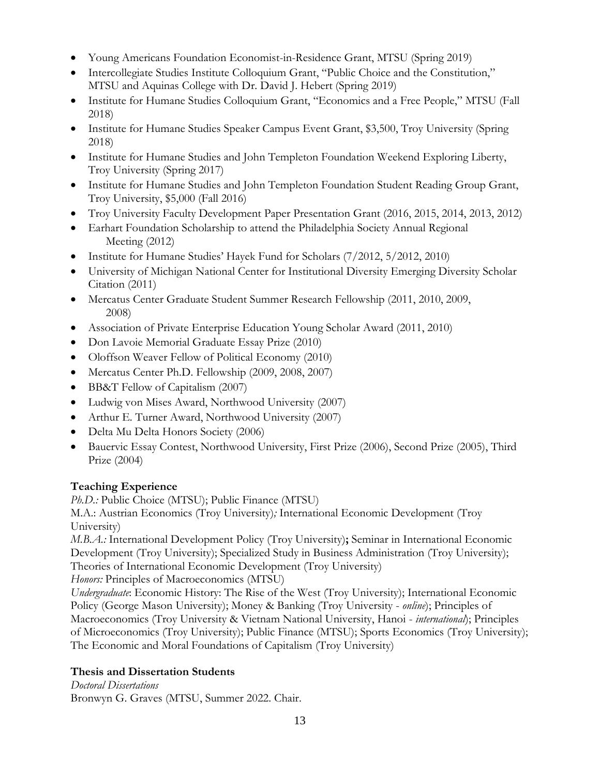- Young Americans Foundation Economist-in-Residence Grant, MTSU (Spring 2019)
- Intercollegiate Studies Institute Colloquium Grant, "Public Choice and the Constitution," MTSU and Aquinas College with Dr. David J. Hebert (Spring 2019)
- Institute for Humane Studies Colloquium Grant, "Economics and a Free People," MTSU (Fall 2018)
- Institute for Humane Studies Speaker Campus Event Grant, \$3,500, Troy University (Spring 2018)
- Institute for Humane Studies and John Templeton Foundation Weekend Exploring Liberty, Troy University (Spring 2017)
- Institute for Humane Studies and John Templeton Foundation Student Reading Group Grant, Troy University, \$5,000 (Fall 2016)
- Troy University Faculty Development Paper Presentation Grant (2016, 2015, 2014, 2013, 2012)
- Earhart Foundation Scholarship to attend the Philadelphia Society Annual Regional Meeting (2012)
- Institute for Humane Studies' Hayek Fund for Scholars (7/2012, 5/2012, 2010)
- University of Michigan National Center for Institutional Diversity Emerging Diversity Scholar Citation (2011)
- Mercatus Center Graduate Student Summer Research Fellowship (2011, 2010, 2009, 2008)
- Association of Private Enterprise Education Young Scholar Award (2011, 2010)
- Don Lavoie Memorial Graduate Essay Prize (2010)
- Oloffson Weaver Fellow of Political Economy (2010)
- Mercatus Center Ph.D. Fellowship (2009, 2008, 2007)
- BB&T Fellow of Capitalism (2007)
- Ludwig von Mises Award, Northwood University (2007)
- Arthur E. Turner Award, Northwood University (2007)
- Delta Mu Delta Honors Society (2006)
- Bauervic Essay Contest, Northwood University, First Prize (2006), Second Prize (2005), Third Prize (2004)

# **Teaching Experience**

*Ph.D.:* Public Choice (MTSU); Public Finance (MTSU)

M.A.: Austrian Economics (Troy University)*;* International Economic Development (Troy University)

*M.B.A.:* International Development Policy (Troy University)**;** Seminar in International Economic Development (Troy University); Specialized Study in Business Administration (Troy University); Theories of International Economic Development (Troy University)

*Honors:* Principles of Macroeconomics (MTSU)

*Undergraduate*: Economic History: The Rise of the West (Troy University); International Economic Policy (George Mason University); Money & Banking (Troy University - *online*); Principles of Macroeconomics (Troy University & Vietnam National University, Hanoi - *international*); Principles of Microeconomics (Troy University); Public Finance (MTSU); Sports Economics (Troy University); The Economic and Moral Foundations of Capitalism (Troy University)

# **Thesis and Dissertation Students**

*Doctoral Dissertations*  Bronwyn G. Graves (MTSU, Summer 2022. Chair.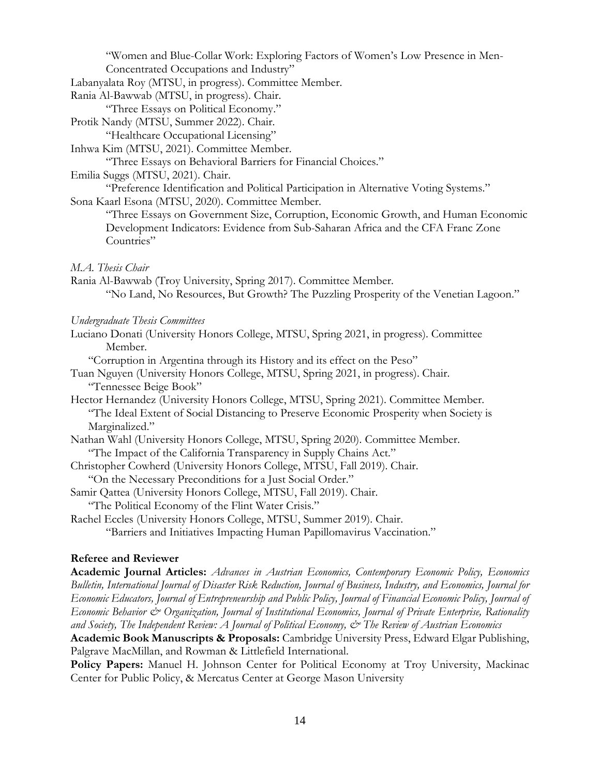"Women and Blue-Collar Work: Exploring Factors of Women's Low Presence in Men-Concentrated Occupations and Industry"

Labanyalata Roy (MTSU, in progress). Committee Member.

Rania Al-Bawwab (MTSU, in progress). Chair.

"Three Essays on Political Economy."

Protik Nandy (MTSU, Summer 2022). Chair.

"Healthcare Occupational Licensing"

Inhwa Kim (MTSU, 2021). Committee Member.

"Three Essays on Behavioral Barriers for Financial Choices."

Emilia Suggs (MTSU, 2021). Chair.

"Preference Identification and Political Participation in Alternative Voting Systems."

Sona Kaarl Esona (MTSU, 2020). Committee Member.

"Three Essays on Government Size, Corruption, Economic Growth, and Human Economic Development Indicators: Evidence from Sub-Saharan Africa and the CFA Franc Zone Countries"

# *M.A. Thesis Chair*

Rania Al-Bawwab (Troy University, Spring 2017). Committee Member. "No Land, No Resources, But Growth? The Puzzling Prosperity of the Venetian Lagoon."

#### *Undergraduate Thesis Committees*

Luciano Donati (University Honors College, MTSU, Spring 2021, in progress). Committee Member.

"Corruption in Argentina through its History and its effect on the Peso"

Tuan Nguyen (University Honors College, MTSU, Spring 2021, in progress). Chair. "Tennessee Beige Book"

Hector Hernandez (University Honors College, MTSU, Spring 2021). Committee Member. "The Ideal Extent of Social Distancing to Preserve Economic Prosperity when Society is Marginalized."

- Nathan Wahl (University Honors College, MTSU, Spring 2020). Committee Member. "The Impact of the California Transparency in Supply Chains Act."
- Christopher Cowherd (University Honors College, MTSU, Fall 2019). Chair.

"On the Necessary Preconditions for a Just Social Order."

- Samir Qattea (University Honors College, MTSU, Fall 2019). Chair.
	- "The Political Economy of the Flint Water Crisis."

Rachel Eccles (University Honors College, MTSU, Summer 2019). Chair. "Barriers and Initiatives Impacting Human Papillomavirus Vaccination."

# **Referee and Reviewer**

**Academic Journal Articles:** *Advances in Austrian Economics, Contemporary Economic Policy, Economics Bulletin, International Journal of Disaster Risk Reduction, Journal of Business, Industry, and Economics, Journal for Economic Educators, Journal of Entrepreneurship and Public Policy, Journal of Financial Economic Policy, Journal of Economic Behavior & Organization, Journal of Institutional Economics, Journal of Private Enterprise, Rationality and Society, The Independent Review: A Journal of Political Economy, & The Review of Austrian Economics*

**Academic Book Manuscripts & Proposals:** Cambridge University Press, Edward Elgar Publishing, Palgrave MacMillan, and Rowman & Littlefield International.

**Policy Papers:** Manuel H. Johnson Center for Political Economy at Troy University, Mackinac Center for Public Policy, & Mercatus Center at George Mason University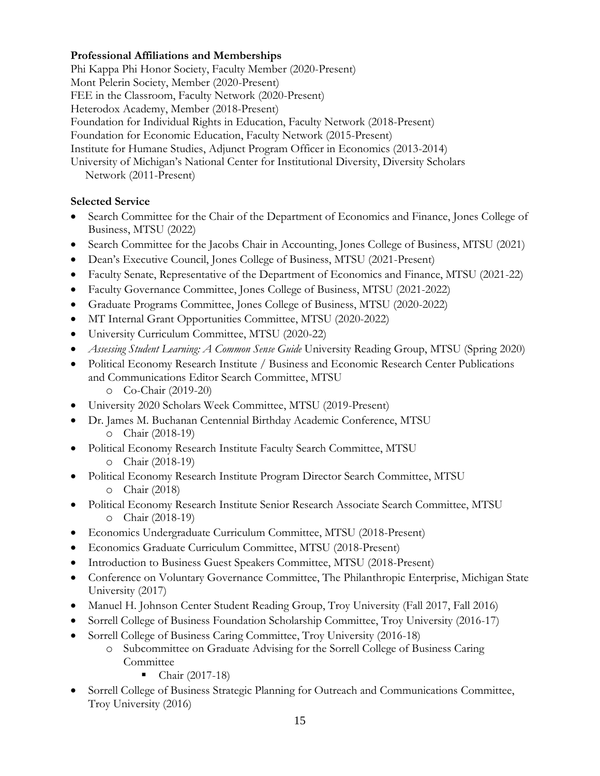# **Professional Affiliations and Memberships**

Phi Kappa Phi Honor Society, Faculty Member (2020-Present) Mont Pelerin Society, Member (2020-Present) FEE in the Classroom, Faculty Network (2020-Present) Heterodox Academy, Member (2018-Present) Foundation for Individual Rights in Education, Faculty Network (2018-Present) Foundation for Economic Education, Faculty Network (2015-Present) Institute for Humane Studies, Adjunct Program Officer in Economics (2013-2014) University of Michigan's National Center for Institutional Diversity, Diversity Scholars Network (2011-Present)

# **Selected Service**

- Search Committee for the Chair of the Department of Economics and Finance, Jones College of Business, MTSU (2022)
- Search Committee for the Jacobs Chair in Accounting, Jones College of Business, MTSU (2021)
- Dean's Executive Council, Jones College of Business, MTSU (2021-Present)
- Faculty Senate, Representative of the Department of Economics and Finance, MTSU (2021-22)
- Faculty Governance Committee, Jones College of Business, MTSU (2021-2022)
- Graduate Programs Committee, Jones College of Business, MTSU (2020-2022)
- MT Internal Grant Opportunities Committee, MTSU (2020-2022)
- University Curriculum Committee, MTSU (2020-22)
- *Assessing Student Learning: A Common Sense Guide* University Reading Group, MTSU (Spring 2020)
- Political Economy Research Institute / Business and Economic Research Center Publications and Communications Editor Search Committee, MTSU
	- o Co-Chair (2019-20)
- University 2020 Scholars Week Committee, MTSU (2019-Present)
- Dr. James M. Buchanan Centennial Birthday Academic Conference, MTSU o Chair (2018-19)
- Political Economy Research Institute Faculty Search Committee, MTSU o Chair (2018-19)
- Political Economy Research Institute Program Director Search Committee, MTSU o Chair (2018)
- Political Economy Research Institute Senior Research Associate Search Committee, MTSU o Chair (2018-19)
- Economics Undergraduate Curriculum Committee, MTSU (2018-Present)
- Economics Graduate Curriculum Committee, MTSU (2018-Present)
- Introduction to Business Guest Speakers Committee, MTSU (2018-Present)
- Conference on Voluntary Governance Committee, The Philanthropic Enterprise, Michigan State University (2017)
- Manuel H. Johnson Center Student Reading Group, Troy University (Fall 2017, Fall 2016)
- Sorrell College of Business Foundation Scholarship Committee, Troy University (2016-17)
- Sorrell College of Business Caring Committee, Troy University (2016-18)
	- o Subcommittee on Graduate Advising for the Sorrell College of Business Caring **Committee** 
		- Chair  $(2017-18)$
- Sorrell College of Business Strategic Planning for Outreach and Communications Committee, Troy University (2016)